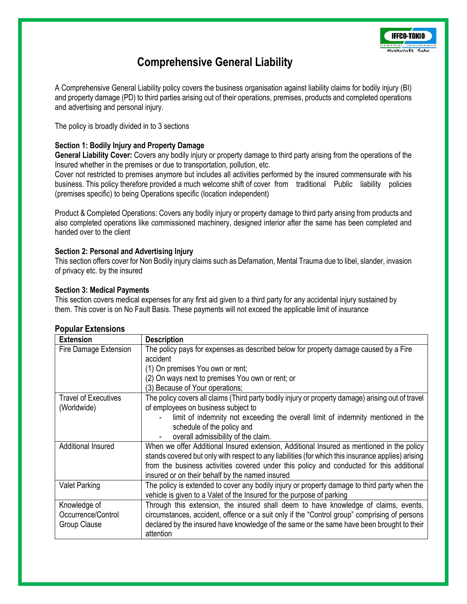

# **Comprehensive General Liability**

A Comprehensive General Liability policy covers the business organisation against liability claims for bodily injury (BI) and property damage (PD) to third parties arising out of their operations, premises, products and completed operations and advertising and personal injury.

The policy is broadly divided in to 3 sections

#### **Section 1: Bodily Injury and Property Damage**

**General Liability Cover:** Covers any bodily injury or property damage to third party arising from the operations of the Insured whether in the premises or due to transportation, pollution, etc.

Cover not restricted to premises anymore but includes all activities performed by the insured commensurate with his business. This policy therefore provided a much welcome shift of cover from traditional Public liability policies (premises specific) to being Operations specific (location independent)

Product & Completed Operations: Covers any bodily injury or property damage to third party arising from products and also completed operations like commissioned machinery, designed interior after the same has been completed and handed over to the client

#### **Section 2: Personal and Advertising Injury**

This section offers cover for Non Bodily injury claims such as Defamation, Mental Trauma due to libel, slander, invasion of privacy etc. by the insured

#### **Section 3: Medical Payments**

This section covers medical expenses for any first aid given to a third party for any accidental injury sustained by them. This cover is on No Fault Basis. These payments will not exceed the applicable limit of insurance

#### **Popular Extensions**

| <b>Extension</b>            | <b>Description</b>                                                                                 |
|-----------------------------|----------------------------------------------------------------------------------------------------|
| Fire Damage Extension       | The policy pays for expenses as described below for property damage caused by a Fire<br>accident   |
|                             | (1) On premises You own or rent;                                                                   |
|                             | (2) On ways next to premises You own or rent; or                                                   |
|                             | (3) Because of Your operations;                                                                    |
| <b>Travel of Executives</b> | The policy covers all claims (Third party bodily injury or property damage) arising out of travel  |
| (Worldwide)                 | of employees on business subject to                                                                |
|                             | limit of indemnity not exceeding the overall limit of indemnity mentioned in the                   |
|                             | schedule of the policy and                                                                         |
|                             | overall admissibility of the claim.                                                                |
| <b>Additional Insured</b>   | When we offer Additional Insured extension, Additional Insured as mentioned in the policy          |
|                             | stands covered but only with respect to any liabilities (for which this insurance applies) arising |
|                             | from the business activities covered under this policy and conducted for this additional           |
|                             | insured or on their behalf by the named insured                                                    |
| <b>Valet Parking</b>        | The policy is extended to cover any bodily injury or property damage to third party when the       |
|                             | vehicle is given to a Valet of the Insured for the purpose of parking                              |
| Knowledge of                | Through this extension, the insured shall deem to have knowledge of claims, events,                |
| Occurrence/Control          | circumstances, accident, offence or a suit only if the "Control group" comprising of persons       |
| Group Clause                | declared by the insured have knowledge of the same or the same have been brought to their          |
|                             | attention                                                                                          |